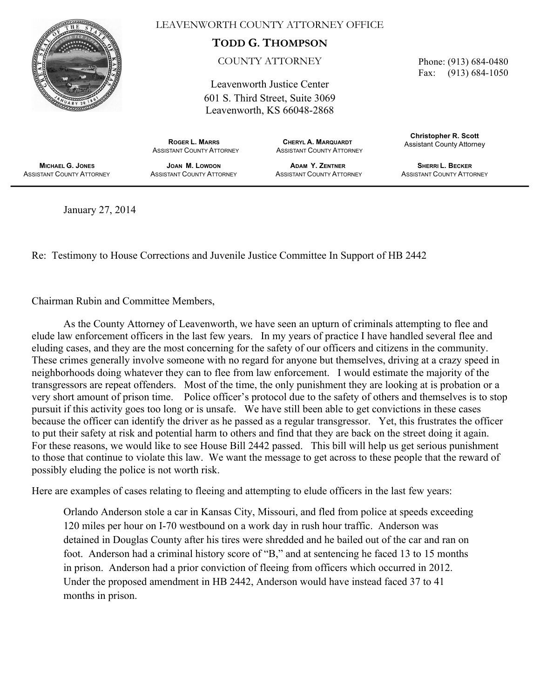

LEAVENWORTH COUNTY ATTORNEY OFFICE

**TODD G. THOMPSON**

COUNTY ATTORNEY

Leavenworth Justice Center

601 S. Third Street, Suite 3069 Leavenworth, KS 66048-2868

 **ROGER L. MARRS CHERYL A. MARQUARDT** ASSISTANT COUNTY ATTORNEY **ASSISTANT COUNTY ATTORNEY**  Phone: (913) 684-0480 Fax: (913) 684-1050

**Christopher R. Scott** Assistant County Attorney

 **MICHAEL G. JONES** ASSISTANT COUNTY ATTORNEY

**JOAN M. LOWDON** ASSISTANT COUNTY ATTORNEY

**ADAM Y. ZENTNER** ASSISTANT COUNTY ATTORNEY

**SHERRI L. BECKER ASSISTANT COUNTY ATTORNEY** 

January 27, 2014

Re: Testimony to House Corrections and Juvenile Justice Committee In Support of HB 2442

Chairman Rubin and Committee Members,

As the County Attorney of Leavenworth, we have seen an upturn of criminals attempting to flee and elude law enforcement officers in the last few years. In my years of practice I have handled several flee and eluding cases, and they are the most concerning for the safety of our officers and citizens in the community. These crimes generally involve someone with no regard for anyone but themselves, driving at a crazy speed in neighborhoods doing whatever they can to flee from law enforcement. I would estimate the majority of the transgressors are repeat offenders. Most of the time, the only punishment they are looking at is probation or a very short amount of prison time. Police officer's protocol due to the safety of others and themselves is to stop pursuit if this activity goes too long or is unsafe. We have still been able to get convictions in these cases because the officer can identify the driver as he passed as a regular transgressor. Yet, this frustrates the officer to put their safety at risk and potential harm to others and find that they are back on the street doing it again. For these reasons, we would like to see House Bill 2442 passed. This bill will help us get serious punishment to those that continue to violate this law. We want the message to get across to these people that the reward of possibly eluding the police is not worth risk.

Here are examples of cases relating to fleeing and attempting to elude officers in the last few years:

Orlando Anderson stole a car in Kansas City, Missouri, and fled from police at speeds exceeding 120 miles per hour on I-70 westbound on a work day in rush hour traffic. Anderson was detained in Douglas County after his tires were shredded and he bailed out of the car and ran on foot. Anderson had a criminal history score of "B," and at sentencing he faced 13 to 15 months in prison. Anderson had a prior conviction of fleeing from officers which occurred in 2012. Under the proposed amendment in HB 2442, Anderson would have instead faced 37 to 41 months in prison.